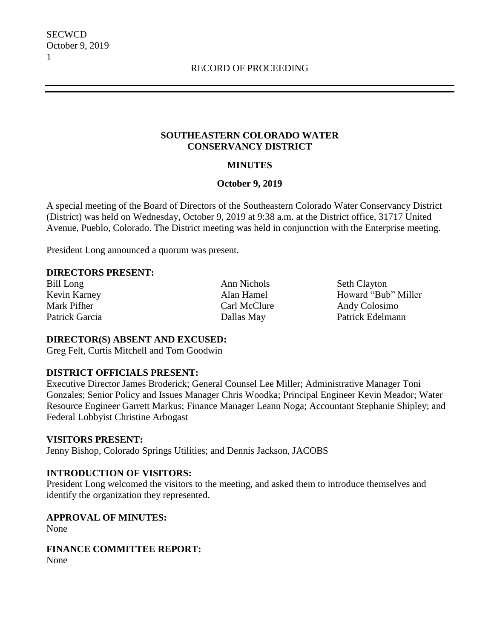SECWCD October 9, 2019 1

#### **SOUTHEASTERN COLORADO WATER CONSERVANCY DISTRICT**

# **MINUTES**

## **October 9, 2019**

A special meeting of the Board of Directors of the Southeastern Colorado Water Conservancy District (District) was held on Wednesday, October 9, 2019 at 9:38 a.m. at the District office, 31717 United Avenue, Pueblo, Colorado. The District meeting was held in conjunction with the Enterprise meeting.

President Long announced a quorum was present.

#### **DIRECTORS PRESENT:**

Bill Long Ann Nichols Seth Clayton

Kevin Karney Miller Alan Hamel Howard "Bub" Miller Mark Pifher Carl McClure Andy Colosimo Patrick Garcia **Dallas May** Patrick Edelmann

#### **DIRECTOR(S) ABSENT AND EXCUSED:**

Greg Felt, Curtis Mitchell and Tom Goodwin

## **DISTRICT OFFICIALS PRESENT:**

Executive Director James Broderick; General Counsel Lee Miller; Administrative Manager Toni Gonzales; Senior Policy and Issues Manager Chris Woodka; Principal Engineer Kevin Meador; Water Resource Engineer Garrett Markus; Finance Manager Leann Noga; Accountant Stephanie Shipley; and Federal Lobbyist Christine Arbogast

## **VISITORS PRESENT:**

Jenny Bishop, Colorado Springs Utilities; and Dennis Jackson, JACOBS

## **INTRODUCTION OF VISITORS:**

President Long welcomed the visitors to the meeting, and asked them to introduce themselves and identify the organization they represented.

# **APPROVAL OF MINUTES:**

None

# **FINANCE COMMITTEE REPORT:**

None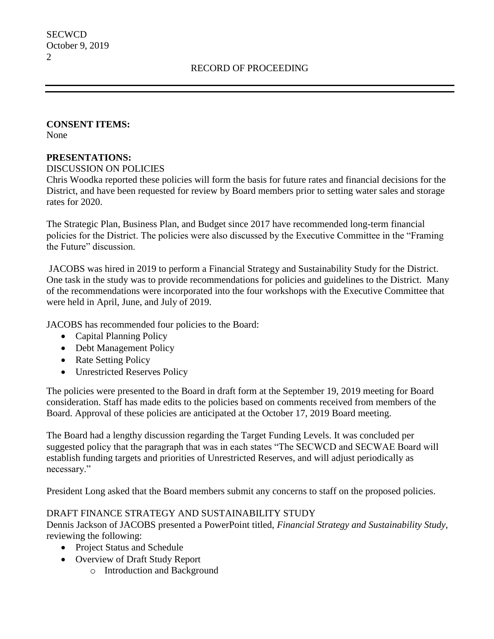**CONSENT ITEMS:** None

# **PRESENTATIONS:**

DISCUSSION ON POLICIES

Chris Woodka reported these policies will form the basis for future rates and financial decisions for the District, and have been requested for review by Board members prior to setting water sales and storage rates for 2020.

The Strategic Plan, Business Plan, and Budget since 2017 have recommended long-term financial policies for the District. The policies were also discussed by the Executive Committee in the "Framing the Future" discussion.

JACOBS was hired in 2019 to perform a Financial Strategy and Sustainability Study for the District. One task in the study was to provide recommendations for policies and guidelines to the District. Many of the recommendations were incorporated into the four workshops with the Executive Committee that were held in April, June, and July of 2019.

JACOBS has recommended four policies to the Board:

- Capital Planning Policy
- Debt Management Policy
- Rate Setting Policy
- Unrestricted Reserves Policy

The policies were presented to the Board in draft form at the September 19, 2019 meeting for Board consideration. Staff has made edits to the policies based on comments received from members of the Board. Approval of these policies are anticipated at the October 17, 2019 Board meeting.

The Board had a lengthy discussion regarding the Target Funding Levels. It was concluded per suggested policy that the paragraph that was in each states "The SECWCD and SECWAE Board will establish funding targets and priorities of Unrestricted Reserves, and will adjust periodically as necessary."

President Long asked that the Board members submit any concerns to staff on the proposed policies.

## DRAFT FINANCE STRATEGY AND SUSTAINABILITY STUDY

Dennis Jackson of JACOBS presented a PowerPoint titled, *Financial Strategy and Sustainability Study,*  reviewing the following:

- Project Status and Schedule
- Overview of Draft Study Report
	- o Introduction and Background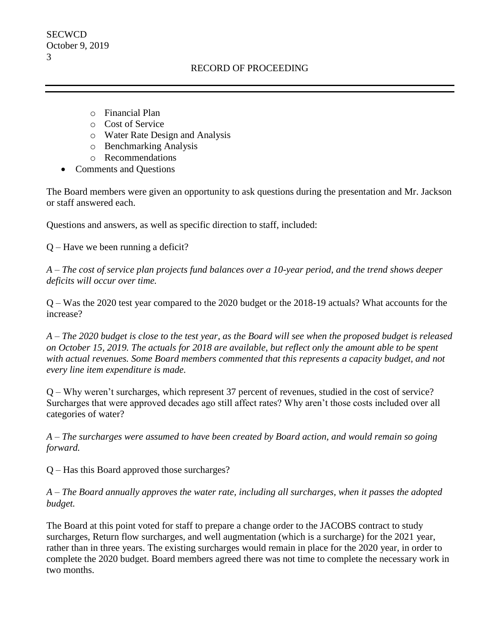SECWCD October 9, 2019 3

- o Financial Plan
- o Cost of Service
- o Water Rate Design and Analysis
- o Benchmarking Analysis
- o Recommendations
- Comments and Questions

The Board members were given an opportunity to ask questions during the presentation and Mr. Jackson or staff answered each.

Questions and answers, as well as specific direction to staff, included:

Q – Have we been running a deficit?

*A – The cost of service plan projects fund balances over a 10-year period, and the trend shows deeper deficits will occur over time.*

Q – Was the 2020 test year compared to the 2020 budget or the 2018-19 actuals? What accounts for the increase?

*A – The 2020 budget is close to the test year, as the Board will see when the proposed budget is released on October 15, 2019. The actuals for 2018 are available, but reflect only the amount able to be spent with actual revenues. Some Board members commented that this represents a capacity budget, and not every line item expenditure is made.*

Q – Why weren't surcharges, which represent 37 percent of revenues, studied in the cost of service? Surcharges that were approved decades ago still affect rates? Why aren't those costs included over all categories of water?

*A – The surcharges were assumed to have been created by Board action, and would remain so going forward.*

Q – Has this Board approved those surcharges?

*A – The Board annually approves the water rate, including all surcharges, when it passes the adopted budget.*

The Board at this point voted for staff to prepare a change order to the JACOBS contract to study surcharges, Return flow surcharges, and well augmentation (which is a surcharge) for the 2021 year, rather than in three years. The existing surcharges would remain in place for the 2020 year, in order to complete the 2020 budget. Board members agreed there was not time to complete the necessary work in two months.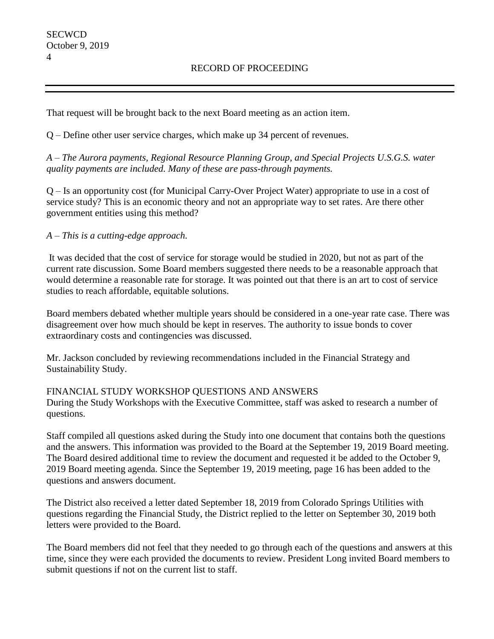That request will be brought back to the next Board meeting as an action item.

Q – Define other user service charges, which make up 34 percent of revenues.

*A – The Aurora payments, Regional Resource Planning Group, and Special Projects U.S.G.S. water quality payments are included. Many of these are pass-through payments.*

Q – Is an opportunity cost (for Municipal Carry-Over Project Water) appropriate to use in a cost of service study? This is an economic theory and not an appropriate way to set rates. Are there other government entities using this method?

# *A – This is a cutting-edge approach.*

It was decided that the cost of service for storage would be studied in 2020, but not as part of the current rate discussion. Some Board members suggested there needs to be a reasonable approach that would determine a reasonable rate for storage. It was pointed out that there is an art to cost of service studies to reach affordable, equitable solutions.

Board members debated whether multiple years should be considered in a one-year rate case. There was disagreement over how much should be kept in reserves. The authority to issue bonds to cover extraordinary costs and contingencies was discussed.

Mr. Jackson concluded by reviewing recommendations included in the Financial Strategy and Sustainability Study.

# FINANCIAL STUDY WORKSHOP QUESTIONS AND ANSWERS

During the Study Workshops with the Executive Committee, staff was asked to research a number of questions.

Staff compiled all questions asked during the Study into one document that contains both the questions and the answers. This information was provided to the Board at the September 19, 2019 Board meeting. The Board desired additional time to review the document and requested it be added to the October 9, 2019 Board meeting agenda. Since the September 19, 2019 meeting, page 16 has been added to the questions and answers document.

The District also received a letter dated September 18, 2019 from Colorado Springs Utilities with questions regarding the Financial Study, the District replied to the letter on September 30, 2019 both letters were provided to the Board.

The Board members did not feel that they needed to go through each of the questions and answers at this time, since they were each provided the documents to review. President Long invited Board members to submit questions if not on the current list to staff.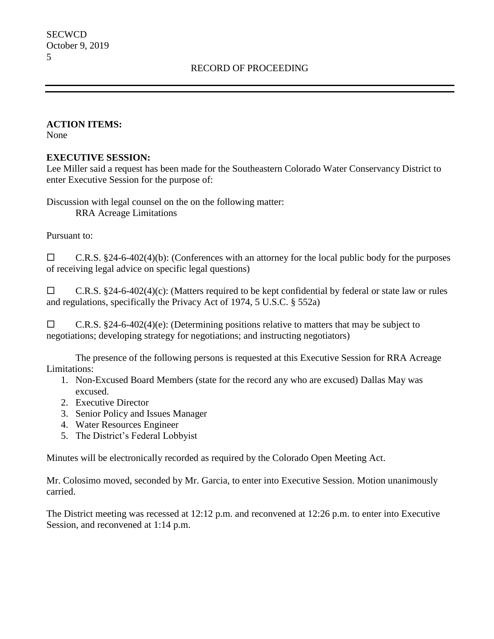# **ACTION ITEMS:**

None

# **EXECUTIVE SESSION:**

Lee Miller said a request has been made for the Southeastern Colorado Water Conservancy District to enter Executive Session for the purpose of:

Discussion with legal counsel on the on the following matter: RRA Acreage Limitations

Pursuant to:

 $\Box$  C.R.S. §24-6-402(4)(b): (Conferences with an attorney for the local public body for the purposes of receiving legal advice on specific legal questions)

 $\Box$  C.R.S. §24-6-402(4)(c): (Matters required to be kept confidential by federal or state law or rules and regulations, specifically the Privacy Act of 1974, 5 U.S.C. § 552a)

 $\Box$  C.R.S. §24-6-402(4)(e): (Determining positions relative to matters that may be subject to negotiations; developing strategy for negotiations; and instructing negotiators)

The presence of the following persons is requested at this Executive Session for RRA Acreage Limitations:

- 1. Non-Excused Board Members (state for the record any who are excused) Dallas May was excused.
- 2. Executive Director
- 3. Senior Policy and Issues Manager
- 4. Water Resources Engineer
- 5. The District's Federal Lobbyist

Minutes will be electronically recorded as required by the Colorado Open Meeting Act.

Mr. Colosimo moved, seconded by Mr. Garcia, to enter into Executive Session. Motion unanimously carried.

The District meeting was recessed at 12:12 p.m. and reconvened at 12:26 p.m. to enter into Executive Session, and reconvened at 1:14 p.m.